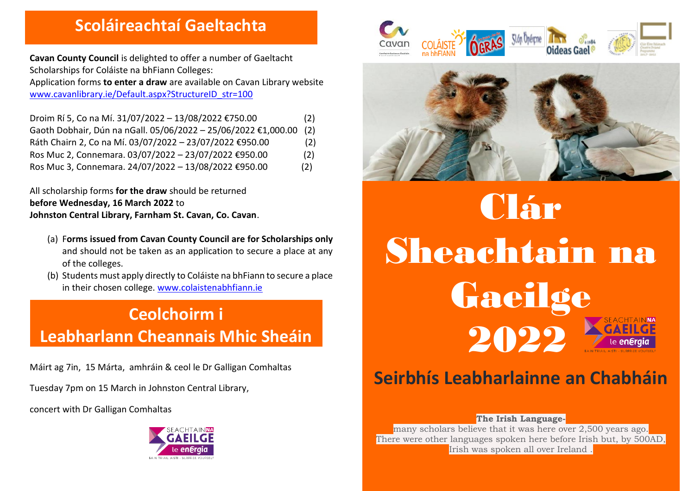### **Scoláireachtaí Gaeltachta**

**Cavan County Council** is delighted to offer a number of Gaeltacht Scholarships for Coláiste na bhFiann Colleges:

Application forms **to enter a draw** are available on Cavan Library website [www.cavanlibrary.ie/Default.aspx?StructureID\\_str=100](http://www.cavanlibrary.ie/Default.aspx?StructureID_str=100)

| Droim Rí 5, Co na Mí. 31/07/2022 - 13/08/2022 €750.00          | (2) |
|----------------------------------------------------------------|-----|
| Gaoth Dobhair, Dún na nGall. 05/06/2022 - 25/06/2022 €1,000.00 | (2) |
| Ráth Chairn 2, Co na Mí. 03/07/2022 - 23/07/2022 €950.00       | (2) |
| Ros Muc 2, Connemara. 03/07/2022 - 23/07/2022 €950.00          | (2) |
| Ros Muc 3, Connemara. 24/07/2022 - 13/08/2022 €950.00          | (2) |

All scholarship forms **for the draw** should be returned **before Wednesday, 16 March 2022** to **Johnston Central Library, Farnham St. Cavan, Co. Cavan**.

- (a) F**orms issued from Cavan County Council are for Scholarships only** and should not be taken as an application to secure a place at any of the colleges.
- (b) Students must apply directly to Coláiste na bhFiann to secure a place in their chosen college. [www.colaistenabhfiann.ie](http://www.colaistenabhfiann.ie/)

# **Ceolchoirm i Leabharlann Cheannais Mhic Sheáin**

Máirt ag 7in, 15 Márta, amhráin & ceol le Dr Galligan Comhaltas

Tuesday 7pm on 15 March in Johnston Central Library,

concert with Dr Galligan Comhaltas









# **Seirbhís Leabharlainne an Chabháin**

#### **The Irish Language-**

many scholars believe that it was here over 2,500 years ago. There were other languages spoken here before Irish but, by 500AD, Irish was spoken all over Ireland .